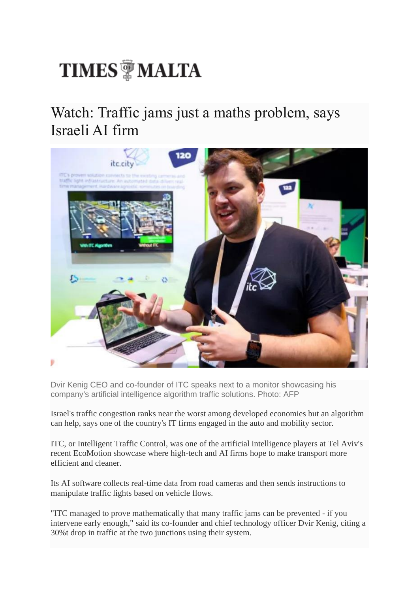## **TIMES MALTA**

Watch: Traffic jams just a maths problem, says Israeli AI firm



Dvir Kenig CEO and co-founder of ITC speaks next to a monitor showcasing his company's artificial intelligence algorithm traffic solutions. Photo: AFP

Israel's traffic congestion ranks near the worst among developed economies but an algorithm can help, says one of the country's IT firms engaged in the auto and mobility sector.

ITC, or Intelligent Traffic Control, was one of the artificial intelligence players at Tel Aviv's recent EcoMotion showcase where high-tech and AI firms hope to make transport more efficient and cleaner.

Its AI software collects real-time data from road cameras and then sends instructions to manipulate traffic lights based on vehicle flows.

"ITC managed to prove mathematically that many traffic jams can be prevented - if you intervene early enough," said its co-founder and chief technology officer Dvir Kenig, citing a 30%t drop in traffic at the two junctions using their system.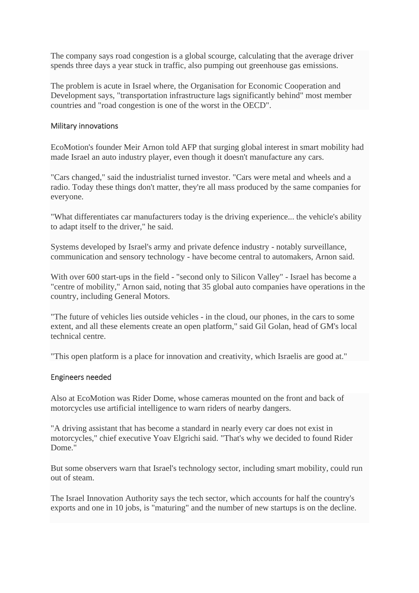The company says road congestion is a global scourge, calculating that the average driver spends three days a year stuck in traffic, also pumping out greenhouse gas emissions.

The problem is acute in Israel where, the Organisation for Economic Cooperation and Development says, "transportation infrastructure lags significantly behind" most member countries and "road congestion is one of the worst in the OECD".

## Military innovations

EcoMotion's founder Meir Arnon told AFP that surging global interest in smart mobility had made Israel an auto industry player, even though it doesn't manufacture any cars.

"Cars changed," said the industrialist turned investor. "Cars were metal and wheels and a radio. Today these things don't matter, they're all mass produced by the same companies for everyone.

"What differentiates car manufacturers today is the driving experience... the vehicle's ability to adapt itself to the driver," he said.

Systems developed by Israel's army and private defence industry - notably surveillance, communication and sensory technology - have become central to automakers, Arnon said.

With over 600 start-ups in the field - "second only to Silicon Valley" - Israel has become a "centre of mobility," Arnon said, noting that 35 global auto companies have operations in the country, including General Motors.

"The future of vehicles lies outside vehicles - in the cloud, our phones, in the cars to some extent, and all these elements create an open platform," said Gil Golan, head of GM's local technical centre.

"This open platform is a place for innovation and creativity, which Israelis are good at."

## Engineers needed

Also at EcoMotion was Rider Dome, whose cameras mounted on the front and back of motorcycles use artificial intelligence to warn riders of nearby dangers.

"A driving assistant that has become a standard in nearly every car does not exist in motorcycles," chief executive Yoav Elgrichi said. "That's why we decided to found Rider Dome."

But some observers warn that Israel's technology sector, including smart mobility, could run out of steam.

The Israel Innovation Authority says the tech sector, which accounts for half the country's exports and one in 10 jobs, is "maturing" and the number of new startups is on the decline.